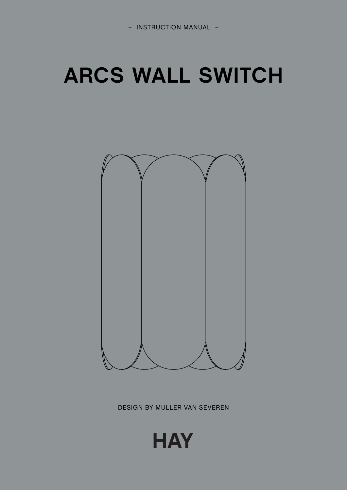# **ARCS WALL SWITCH**



DESIGN BY MULLER VAN SEVEREN

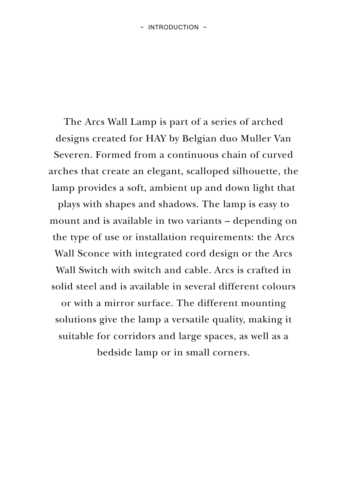The Arcs Wall Lamp is part of a series of arched designs created for HAY by Belgian duo Muller Van Severen. Formed from a continuous chain of curved arches that create an elegant, scalloped silhouette, the lamp provides a soft, ambient up and down light that

plays with shapes and shadows. The lamp is easy to mount and is available in two variants – depending on the type of use or installation requirements: the Arcs Wall Sconce with integrated cord design or the Arcs Wall Switch with switch and cable. Arcs is crafted in solid steel and is available in several different colours or with a mirror surface. The different mounting solutions give the lamp a versatile quality, making it suitable for corridors and large spaces, as well as a

bedside lamp or in small corners.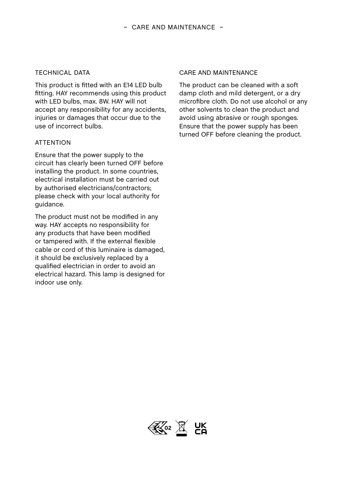### TECHNICAL DATA

This product is fitted with an F14 LED bulb fitting. HAY recommends using this product with LED bulbs, max. 8W. HAY will not accept any responsibility for any accidents, injuries or damages that occur due to the use of incorrect bulbs.

#### ATTENTION

Ensure that the power supply to the circuit has clearly been turned OFF before installing the product. In some countries, electrical installation must be carried out by authorised electricians/contractors; please check with your local authority for guidance.

The product must not be modified in any way. HAY accepts no responsibility for any products that have been modified or tampered with. If the external flexible cable or cord of this luminaire is damaged, it should be exclusively replaced by a qualified electrician in order to avoid an electrical hazard. This lamp is designed for indoor use only.

#### CARE AND MAINTENANCE

The product can be cleaned with a soft damp cloth and mild detergent, or a dry microfibre cloth. Do not use alcohol or any other solvents to clean the product and avoid using abrasive or rough sponges. Ensure that the power supply has been turned OFF before cleaning the product.

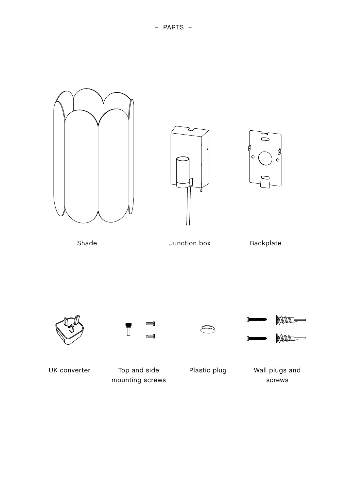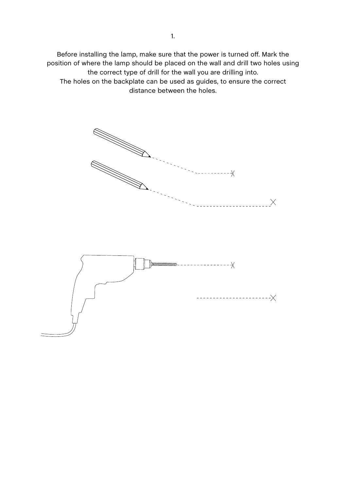Before installing the lamp, make sure that the power is turned off. Mark the position of where the lamp should be placed on the wall and drill two holes using the correct type of drill for the wall you are drilling into. The holes on the backplate can be used as guides, to ensure the correct distance between the holes.

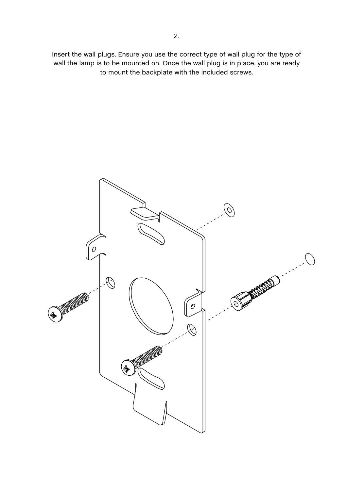Insert the wall plugs. Ensure you use the correct type of wall plug for the type of wall the lamp is to be mounted on. Once the wall plug is in place, you are ready to mount the backplate with the included screws.

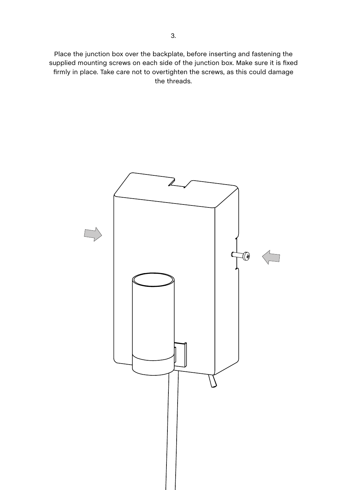Place the junction box over the backplate, before inserting and fastening the supplied mounting screws on each side of the junction box. Make sure it is fixed firmly in place. Take care not to overtighten the screws, as this could damage the threads.

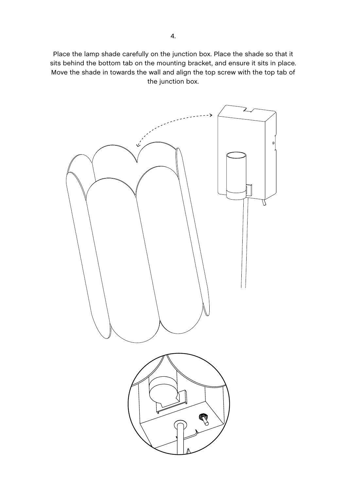Place the lamp shade carefully on the junction box. Place the shade so that it sits behind the bottom tab on the mounting bracket, and ensure it sits in place. Move the shade in towards the wall and align the top screw with the top tab of the junction box.

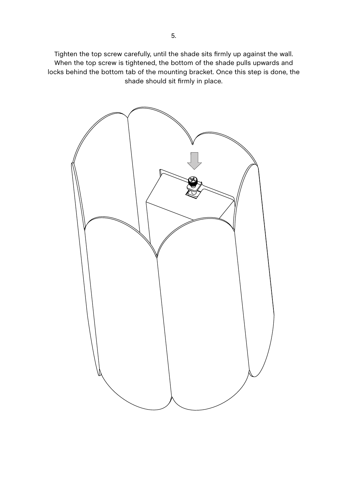Tighten the top screw carefully, until the shade sits firmly up against the wall. When the top screw is tightened, the bottom of the shade pulls upwards and locks behind the bottom tab of the mounting bracket. Once this step is done, the shade should sit firmly in place.

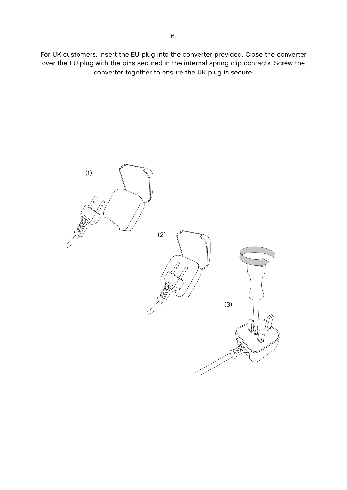For UK customers, insert the EU plug into the converter provided. Close the converter over the EU plug with the pins secured in the internal spring clip contacts. Screw the converter together to ensure the UK plug is secure.

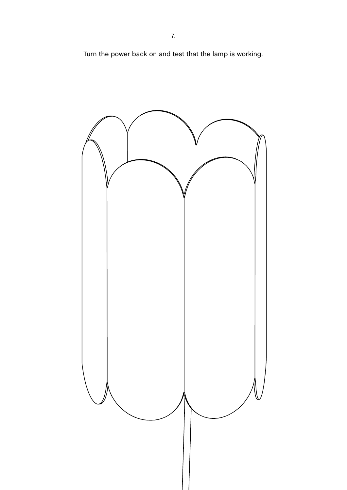Turn the power back on and test that the lamp is working.

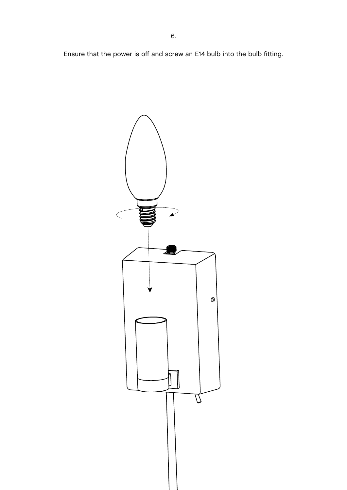Ensure that the power is off and screw an E14 bulb into the bulb fitting.

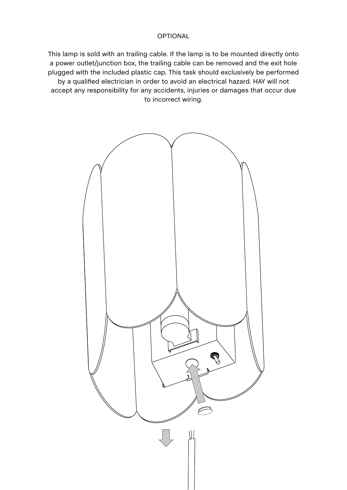## OPTIONAL

This lamp is sold with an trailing cable. If the lamp is to be mounted directly onto a power outlet/junction box, the trailing cable can be removed and the exit hole plugged with the included plastic cap. This task should exclusively be performed by a qualified electrician in order to avoid an electrical hazard. HAY will not accept any responsibility for any accidents, injuries or damages that occur due to incorrect wiring.